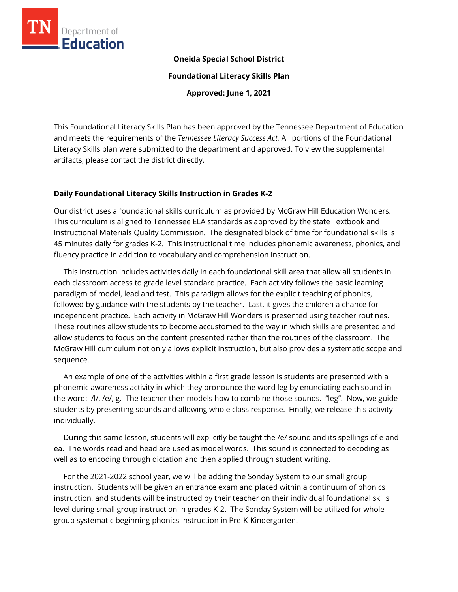

## **Oneida Special School District**

**Foundational Literacy Skills Plan**

**Approved: June 1, 2021**

This Foundational Literacy Skills Plan has been approved by the Tennessee Department of Education and meets the requirements of the *Tennessee Literacy Success Act.* All portions of the Foundational Literacy Skills plan were submitted to the department and approved. To view the supplemental artifacts, please contact the district directly.

## **Daily Foundational Literacy Skills Instruction in Grades K-2**

Our district uses a foundational skills curriculum as provided by McGraw Hill Education Wonders. This curriculum is aligned to Tennessee ELA standards as approved by the state Textbook and Instructional Materials Quality Commission. The designated block of time for foundational skills is 45 minutes daily for grades K-2. This instructional time includes phonemic awareness, phonics, and fluency practice in addition to vocabulary and comprehension instruction.

 This instruction includes activities daily in each foundational skill area that allow all students in each classroom access to grade level standard practice. Each activity follows the basic learning paradigm of model, lead and test. This paradigm allows for the explicit teaching of phonics, followed by guidance with the students by the teacher. Last, it gives the children a chance for independent practice. Each activity in McGraw Hill Wonders is presented using teacher routines. These routines allow students to become accustomed to the way in which skills are presented and allow students to focus on the content presented rather than the routines of the classroom. The McGraw Hill curriculum not only allows explicit instruction, but also provides a systematic scope and sequence.

 An example of one of the activities within a first grade lesson is students are presented with a phonemic awareness activity in which they pronounce the word leg by enunciating each sound in the word: /l/, /e/, g. The teacher then models how to combine those sounds. "leg". Now, we guide students by presenting sounds and allowing whole class response. Finally, we release this activity individually.

 During this same lesson, students will explicitly be taught the /e/ sound and its spellings of e and ea. The words read and head are used as model words. This sound is connected to decoding as well as to encoding through dictation and then applied through student writing.

 For the 2021-2022 school year, we will be adding the Sonday System to our small group instruction. Students will be given an entrance exam and placed within a continuum of phonics instruction, and students will be instructed by their teacher on their individual foundational skills level during small group instruction in grades K-2. The Sonday System will be utilized for whole group systematic beginning phonics instruction in Pre-K-Kindergarten.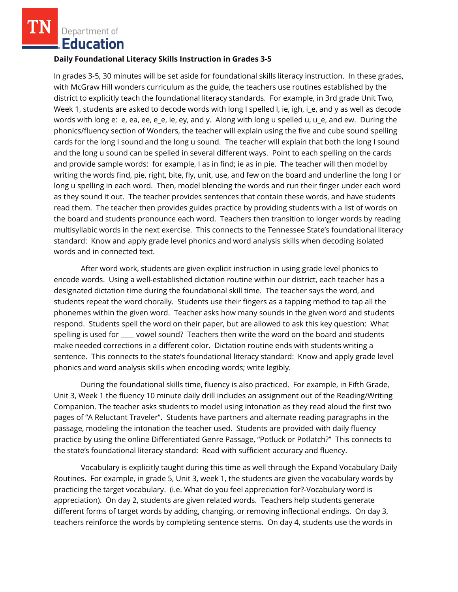### **Daily Foundational Literacy Skills Instruction in Grades 3-5**

In grades 3-5, 30 minutes will be set aside for foundational skills literacy instruction. In these grades, with McGraw Hill wonders curriculum as the guide, the teachers use routines established by the district to explicitly teach the foundational literacy standards. For example, in 3rd grade Unit Two, Week 1, students are asked to decode words with long I spelled I, ie, igh, i\_e, and y as well as decode words with long e: e, ea, ee, e e, ie, ey, and y. Along with long u spelled u, u e, and ew. During the phonics/fluency section of Wonders, the teacher will explain using the five and cube sound spelling cards for the long I sound and the long u sound. The teacher will explain that both the long I sound and the long u sound can be spelled in several different ways. Point to each spelling on the cards and provide sample words: for example, I as in find; ie as in pie. The teacher will then model by writing the words find, pie, right, bite, fly, unit, use, and few on the board and underline the long I or long u spelling in each word. Then, model blending the words and run their finger under each word as they sound it out. The teacher provides sentences that contain these words, and have students read them. The teacher then provides guides practice by providing students with a list of words on the board and students pronounce each word. Teachers then transition to longer words by reading multisyllabic words in the next exercise. This connects to the Tennessee State's foundational literacy standard: Know and apply grade level phonics and word analysis skills when decoding isolated words and in connected text.

After word work, students are given explicit instruction in using grade level phonics to encode words. Using a well-established dictation routine within our district, each teacher has a designated dictation time during the foundational skill time. The teacher says the word, and students repeat the word chorally. Students use their fingers as a tapping method to tap all the phonemes within the given word. Teacher asks how many sounds in the given word and students respond. Students spell the word on their paper, but are allowed to ask this key question: What spelling is used for vowel sound? Teachers then write the word on the board and students make needed corrections in a different color. Dictation routine ends with students writing a sentence. This connects to the state's foundational literacy standard: Know and apply grade level phonics and word analysis skills when encoding words; write legibly.

During the foundational skills time, fluency is also practiced. For example, in Fifth Grade, Unit 3, Week 1 the fluency 10 minute daily drill includes an assignment out of the Reading/Writing Companion. The teacher asks students to model using intonation as they read aloud the first two pages of "A Reluctant Traveler". Students have partners and alternate reading paragraphs in the passage, modeling the intonation the teacher used. Students are provided with daily fluency practice by using the online Differentiated Genre Passage, "Potluck or Potlatch?" This connects to the state's foundational literacy standard: Read with sufficient accuracy and fluency.

Vocabulary is explicitly taught during this time as well through the Expand Vocabulary Daily Routines. For example, in grade 5, Unit 3, week 1, the students are given the vocabulary words by practicing the target vocabulary. (i.e. What do you feel appreciation for?-Vocabulary word is appreciation). On day 2, students are given related words. Teachers help students generate different forms of target words by adding, changing, or removing inflectional endings. On day 3, teachers reinforce the words by completing sentence stems. On day 4, students use the words in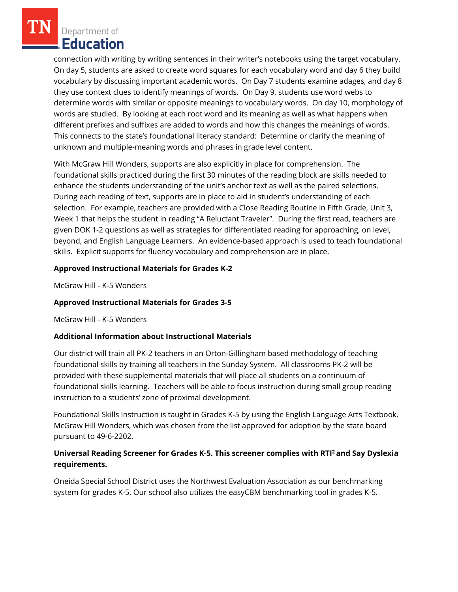connection with writing by writing sentences in their writer's notebooks using the target vocabulary. On day 5, students are asked to create word squares for each vocabulary word and day 6 they build vocabulary by discussing important academic words. On Day 7 students examine adages, and day 8 they use context clues to identify meanings of words. On Day 9, students use word webs to determine words with similar or opposite meanings to vocabulary words. On day 10, morphology of words are studied. By looking at each root word and its meaning as well as what happens when different prefixes and suffixes are added to words and how this changes the meanings of words. This connects to the state's foundational literacy standard: Determine or clarify the meaning of unknown and multiple-meaning words and phrases in grade level content.

With McGraw Hill Wonders, supports are also explicitly in place for comprehension. The foundational skills practiced during the first 30 minutes of the reading block are skills needed to enhance the students understanding of the unit's anchor text as well as the paired selections. During each reading of text, supports are in place to aid in student's understanding of each selection. For example, teachers are provided with a Close Reading Routine in Fifth Grade, Unit 3, Week 1 that helps the student in reading "A Reluctant Traveler". During the first read, teachers are given DOK 1-2 questions as well as strategies for differentiated reading for approaching, on level, beyond, and English Language Learners. An evidence-based approach is used to teach foundational skills. Explicit supports for fluency vocabulary and comprehension are in place.

## **Approved Instructional Materials for Grades K-2**

McGraw Hill - K-5 Wonders

# **Approved Instructional Materials for Grades 3-5**

McGraw Hill - K-5 Wonders

## **Additional Information about Instructional Materials**

Our district will train all PK-2 teachers in an Orton-Gillingham based methodology of teaching foundational skills by training all teachers in the Sunday System. All classrooms PK-2 will be provided with these supplemental materials that will place all students on a continuum of foundational skills learning. Teachers will be able to focus instruction during small group reading instruction to a students' zone of proximal development.

Foundational Skills Instruction is taught in Grades K-5 by using the English Language Arts Textbook, McGraw Hill Wonders, which was chosen from the list approved for adoption by the state board pursuant to 49-6-2202.

# **Universal Reading Screener for Grades K-5. This screener complies with RTI<sup>2</sup>and Say Dyslexia requirements.**

Oneida Special School District uses the Northwest Evaluation Association as our benchmarking system for grades K-5. Our school also utilizes the easyCBM benchmarking tool in grades K-5.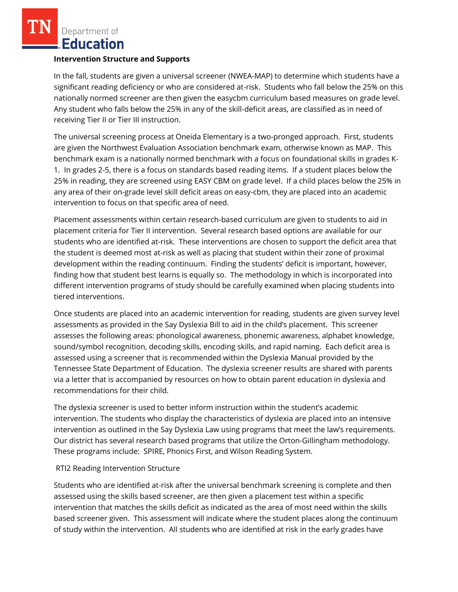#### **Intervention Structure and Supports**

In the fall, students are given a universal screener (NWEA-MAP) to determine which students have a significant reading deficiency or who are considered at-risk. Students who fall below the 25% on this nationally normed screener are then given the easycbm curriculum based measures on grade level. Any student who falls below the 25% in any of the skill-deficit areas, are classified as in need of receiving Tier II or Tier III instruction.

The universal screening process at Oneida Elementary is a two-pronged approach. First, students are given the Northwest Evaluation Association benchmark exam, otherwise known as MAP. This benchmark exam is a nationally normed benchmark with a focus on foundational skills in grades K-1. In grades 2-5, there is a focus on standards based reading items. If a student places below the 25% in reading, they are screened using EASY CBM on grade level. If a child places below the 25% in any area of their on-grade level skill deficit areas on easy-cbm, they are placed into an academic intervention to focus on that specific area of need.

Placement assessments within certain research-based curriculum are given to students to aid in placement criteria for Tier II intervention. Several research based options are available for our students who are identified at-risk. These interventions are chosen to support the deficit area that the student is deemed most at-risk as well as placing that student within their zone of proximal development within the reading continuum. Finding the students' deficit is important, however, finding how that student best learns is equally so. The methodology in which is incorporated into different intervention programs of study should be carefully examined when placing students into tiered interventions.

Once students are placed into an academic intervention for reading, students are given survey level assessments as provided in the Say Dyslexia Bill to aid in the child's placement. This screener assesses the following areas: phonological awareness, phonemic awareness, alphabet knowledge, sound/symbol recognition, decoding skills, encoding skills, and rapid naming. Each deficit area is assessed using a screener that is recommended within the Dyslexia Manual provided by the Tennessee State Department of Education. The dyslexia screener results are shared with parents via a letter that is accompanied by resources on how to obtain parent education in dyslexia and recommendations for their child.

The dyslexia screener is used to better inform instruction within the student's academic intervention. The students who display the characteristics of dyslexia are placed into an intensive intervention as outlined in the Say Dyslexia Law using programs that meet the law's requirements. Our district has several research based programs that utilize the Orton-Gillingham methodology. These programs include: SPIRE, Phonics First, and Wilson Reading System.

### RTI2 Reading Intervention Structure

Students who are identified at-risk after the universal benchmark screening is complete and then assessed using the skills based screener, are then given a placement test within a specific intervention that matches the skills deficit as indicated as the area of most need within the skills based screener given. This assessment will indicate where the student places along the continuum of study within the intervention. All students who are identified at risk in the early grades have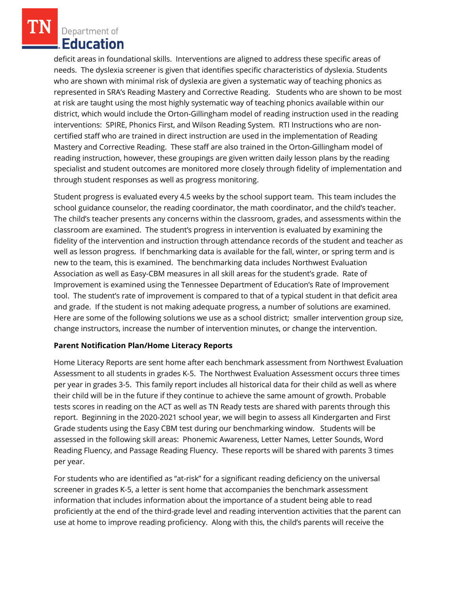deficit areas in foundational skills. Interventions are aligned to address these specific areas of needs. The dyslexia screener is given that identifies specific characteristics of dyslexia. Students who are shown with minimal risk of dyslexia are given a systematic way of teaching phonics as represented in SRA's Reading Mastery and Corrective Reading. Students who are shown to be most at risk are taught using the most highly systematic way of teaching phonics available within our district, which would include the Orton-Gillingham model of reading instruction used in the reading interventions: SPIRE, Phonics First, and Wilson Reading System. RTI Instructions who are noncertified staff who are trained in direct instruction are used in the implementation of Reading Mastery and Corrective Reading. These staff are also trained in the Orton-Gillingham model of reading instruction, however, these groupings are given written daily lesson plans by the reading specialist and student outcomes are monitored more closely through fidelity of implementation and through student responses as well as progress monitoring.

Student progress is evaluated every 4.5 weeks by the school support team. This team includes the school guidance counselor, the reading coordinator, the math coordinator, and the child's teacher. The child's teacher presents any concerns within the classroom, grades, and assessments within the classroom are examined. The student's progress in intervention is evaluated by examining the fidelity of the intervention and instruction through attendance records of the student and teacher as well as lesson progress. If benchmarking data is available for the fall, winter, or spring term and is new to the team, this is examined. The benchmarking data includes Northwest Evaluation Association as well as Easy-CBM measures in all skill areas for the student's grade. Rate of Improvement is examined using the Tennessee Department of Education's Rate of Improvement tool. The student's rate of improvement is compared to that of a typical student in that deficit area and grade. If the student is not making adequate progress, a number of solutions are examined. Here are some of the following solutions we use as a school district; smaller intervention group size, change instructors, increase the number of intervention minutes, or change the intervention.

## **Parent Notification Plan/Home Literacy Reports**

Home Literacy Reports are sent home after each benchmark assessment from Northwest Evaluation Assessment to all students in grades K-5. The Northwest Evaluation Assessment occurs three times per year in grades 3-5. This family report includes all historical data for their child as well as where their child will be in the future if they continue to achieve the same amount of growth. Probable tests scores in reading on the ACT as well as TN Ready tests are shared with parents through this report. Beginning in the 2020-2021 school year, we will begin to assess all Kindergarten and First Grade students using the Easy CBM test during our benchmarking window. Students will be assessed in the following skill areas: Phonemic Awareness, Letter Names, Letter Sounds, Word Reading Fluency, and Passage Reading Fluency. These reports will be shared with parents 3 times per year.

For students who are identified as "at-risk" for a significant reading deficiency on the universal screener in grades K-5, a letter is sent home that accompanies the benchmark assessment information that includes information about the importance of a student being able to read proficiently at the end of the third-grade level and reading intervention activities that the parent can use at home to improve reading proficiency. Along with this, the child's parents will receive the